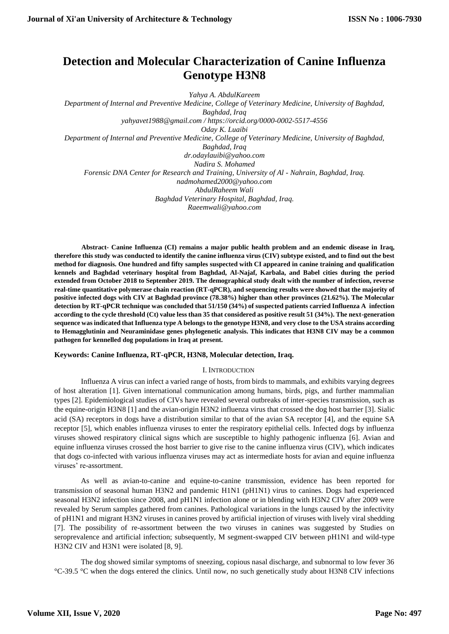# **Detection and Molecular Characterization of Canine Influenza Genotype H3N8**

*Yahya A. AbdulKareem Department of Internal and Preventive Medicine, College of Veterinary Medicine, University of Baghdad, Baghdad, Iraq yahyavet1988@gmail.com / https://orcid.org/0000-0002-5517-4556 Oday K. Luaibi Department of Internal and Preventive Medicine, College of Veterinary Medicine, University of Baghdad, Baghdad, Iraq dr.odaylauibi@yahoo.com Nadira S. Mohamed Forensic DNA Center for Research and Training, University of Al - Nahrain, Baghdad, Iraq. nadmohamed2000@yahoo.com AbdulRaheem Wali Baghdad Veterinary Hospital, Baghdad, Iraq. Raeemwali@yahoo.com*

**Abstract- Canine Influenza (CI) remains a major public health problem and an endemic disease in Iraq, therefore this study was conducted to identify the canine influenza virus (CIV) subtype existed, and to find out the best method for diagnosis. One hundred and fifty samples suspected with CI appeared in canine training and qualification kennels and Baghdad veterinary hospital from Baghdad, Al-Najaf, Karbala, and Babel cities during the period extended from October 2018 to September 2019. The demographical study dealt with the number of infection, reverse real-time quantitative polymerase chain reaction (RT-qPCR), and sequencing results were showed that the majority of positive infected dogs with CIV at Baghdad province (78.38%) higher than other provinces (21.62%). The Molecular detection by RT-qPCR technique was concluded that 51/150 (34%) of suspected patients carried Influenza A infection according to the cycle threshold (Ct) value less than 35 that considered as positive result 51 (34%). The next-generation sequence was indicated that Influenza type A belongs to the genotype H3N8, and very close to the USA strains according to Hemagglutinin and Neuraminidase genes phylogenetic analysis. This indicates that H3N8 CIV may be a common pathogen for kennelled dog populations in Iraq at present.**

# **Keywords: Canine Influenza, RT-qPCR, H3N8, Molecular detection, Iraq.**

#### I. INTRODUCTION

Influenza A virus can infect a varied range of hosts, from birds to mammals, and exhibits varying degrees of host alteration [1]. Given international communication among humans, birds, pigs, and further mammalian types [2]. Epidemiological studies of CIVs have revealed several outbreaks of inter-species transmission, such as the equine-origin H3N8 [1] and the avian-origin H3N2 influenza virus that crossed the dog host barrier [3]. Sialic acid (SA) receptors in dogs have a distribution similar to that of the avian SA receptor [4], and the equine SA receptor [5], which enables influenza viruses to enter the respiratory epithelial cells. Infected dogs by influenza viruses showed respiratory clinical signs which are susceptible to highly pathogenic influenza [6]. Avian and equine influenza viruses crossed the host barrier to give rise to the canine influenza virus (CIV), which indicates that dogs co-infected with various influenza viruses may act as intermediate hosts for avian and equine influenza viruses' re-assortment.

As well as avian-to-canine and equine-to-canine transmission, evidence has been reported for transmission of seasonal human H3N2 and pandemic H1N1 (pH1N1) virus to canines. Dogs had experienced seasonal H3N2 infection since 2008, and pH1N1 infection alone or in blending with H3N2 CIV after 2009 were revealed by Serum samples gathered from canines. Pathological variations in the lungs caused by the infectivity of pH1N1 and migrant H3N2 viruses in canines proved by artificial injection of viruses with lively viral shedding [7]. The possibility of re-assortment between the two viruses in canines was suggested by Studies on seroprevalence and artificial infection; subsequently, M segment-swapped CIV between pH1N1 and wild-type H3N2 CIV and H3N1 were isolated [8, 9].

The dog showed similar symptoms of sneezing, copious nasal discharge, and subnormal to low fever 36 °C-39.5 °C when the dogs entered the clinics. Until now, no such genetically study about H3N8 CIV infections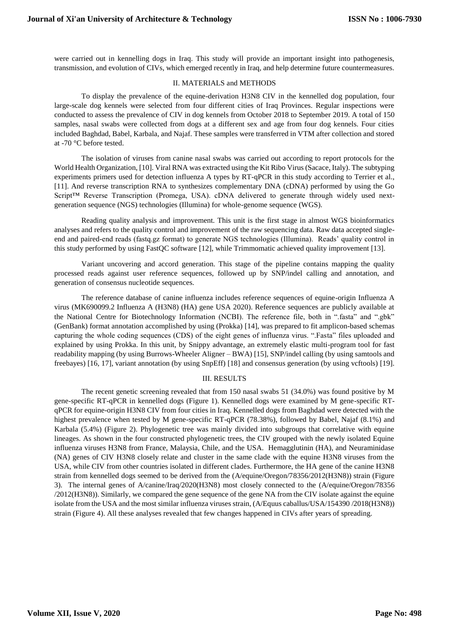were carried out in kennelling dogs in Iraq. This study will provide an important insight into pathogenesis, transmission, and evolution of CIVs, which emerged recently in Iraq, and help determine future countermeasures.

#### II. MATERIALS and METHODS

To display the prevalence of the equine-derivation H3N8 CIV in the kennelled dog population, four large-scale dog kennels were selected from four different cities of Iraq Provinces. Regular inspections were conducted to assess the prevalence of CIV in dog kennels from October 2018 to September 2019. A total of 150 samples, nasal swabs were collected from dogs at a different sex and age from four dog kennels. Four cities included Baghdad, Babel, Karbala, and Najaf. These samples were transferred in VTM after collection and stored at -70 °C before tested.

The isolation of viruses from canine nasal swabs was carried out according to report protocols for the World Health Organization, [10]. Viral RNA was extracted using the Kit Ribo Virus (Sacace, Italy). The subtyping experiments primers used for detection influenza A types by RT-qPCR in this study according to Terrier et al., [11]. And reverse transcription RNA to synthesizes complementary DNA (cDNA) performed by using the Go Script™ Reverse Transcription (Promega, USA). cDNA delivered to generate through widely used nextgeneration sequence (NGS) technologies (Illumina) for whole-genome sequence (WGS).

Reading quality analysis and improvement. This unit is the first stage in almost WGS bioinformatics analyses and refers to the quality control and improvement of the raw sequencing data. Raw data accepted singleend and paired-end reads (fastq.gz format) to generate NGS technologies (Illumina). Reads' quality control in this study performed by using FastQC software [12], while Trimmomatic achieved quality improvement [13].

Variant uncovering and accord generation. This stage of the pipeline contains mapping the quality processed reads against user reference sequences, followed up by SNP/indel calling and annotation, and generation of consensus nucleotide sequences.

The reference database of canine influenza includes reference sequences of equine-origin Influenza A virus (MK690099.2 Influenza A (H3N8) (HA) gene USA 2020). Reference sequences are publicly available at the National Centre for Biotechnology Information (NCBI). The reference file, both in ".fasta" and ".gbk" (GenBank) format annotation accomplished by using (Prokka) [14], was prepared to fit amplicon-based schemas capturing the whole coding sequences (CDS) of the eight genes of influenza virus. ".Fasta" files uploaded and explained by using Prokka. In this unit, by Snippy advantage, an extremely elastic multi-program tool for fast readability mapping (by using Burrows-Wheeler Aligner – BWA) [15], SNP/indel calling (by using samtools and freebayes) [16, 17], variant annotation (by using SnpEff) [18] and consensus generation (by using vcftools) [19].

# III. RESULTS

The recent genetic screening revealed that from 150 nasal swabs 51 (34.0%) was found positive by M gene-specific RT-qPCR in kennelled dogs (Figure 1). Kennelled dogs were examined by M gene-specific RTqPCR for equine-origin H3N8 CIV from four cities in Iraq. Kennelled dogs from Baghdad were detected with the highest prevalence when tested by M gene-specific RT-qPCR (78.38%), followed by Babel, Najaf (8.1%) and Karbala (5.4%) (Figure 2). Phylogenetic tree was mainly divided into subgroups that correlative with equine lineages. As shown in the four constructed phylogenetic trees, the CIV grouped with the newly isolated Equine influenza viruses H3N8 from France, Malaysia, Chile, and the USA. Hemagglutinin (HA), and Neuraminidase (NA) genes of CIV H3N8 closely relate and cluster in the same clade with the equine H3N8 viruses from the USA, while CIV from other countries isolated in different clades. Furthermore, the HA gene of the canine H3N8 strain from kennelled dogs seemed to be derived from the (A/equine/Oregon/78356/2012(H3N8)) strain (Figure 3). The internal genes of A/canine/Iraq/2020(H3N8) most closely connected to the (A/equine/Oregon/78356 /2012(H3N8)). Similarly, we compared the gene sequence of the gene NA from the CIV isolate against the equine isolate from the USA and the most similar influenza viruses strain, (A/Equus caballus/USA/154390 /2018(H3N8)) strain (Figure 4). All these analyses revealed that few changes happened in CIVs after years of spreading.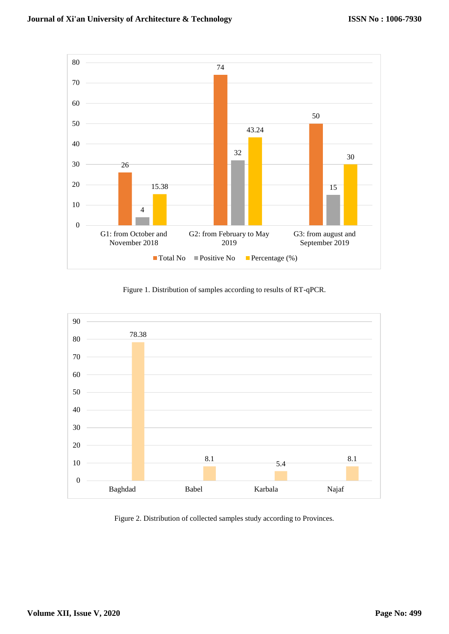

Figure 1. Distribution of samples according to results of RT-qPCR.



Figure 2. Distribution of collected samples study according to Provinces.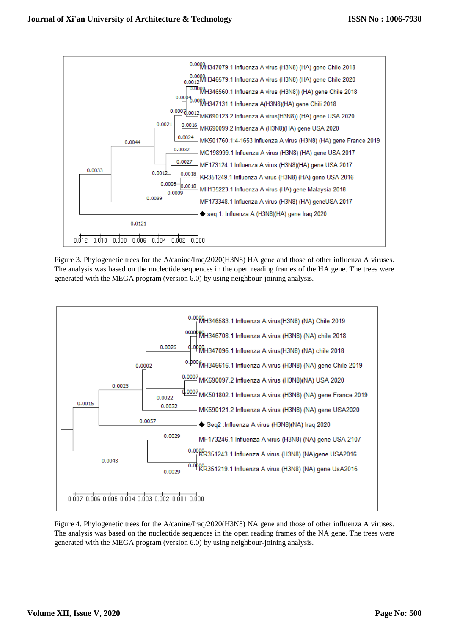

Figure 3. Phylogenetic trees for the A/canine/Iraq/2020(H3N8) HA gene and those of other influenza A viruses. The analysis was based on the nucleotide sequences in the open reading frames of the HA gene. The trees were generated with the MEGA program (version 6.0) by using neighbour-joining analysis.



Figure 4. Phylogenetic trees for the A/canine/Iraq/2020(H3N8) NA gene and those of other influenza A viruses. The analysis was based on the nucleotide sequences in the open reading frames of the NA gene. The trees were generated with the MEGA program (version 6.0) by using neighbour-joining analysis.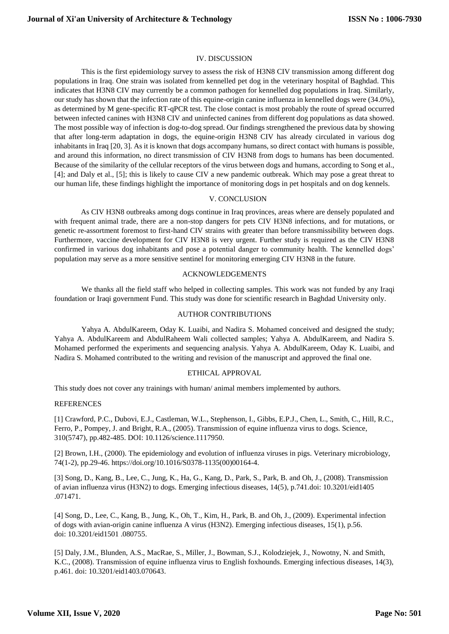## IV. DISCUSSION

This is the first epidemiology survey to assess the risk of H3N8 CIV transmission among different dog populations in Iraq. One strain was isolated from kennelled pet dog in the veterinary hospital of Baghdad. This indicates that H3N8 CIV may currently be a common pathogen for kennelled dog populations in Iraq. Similarly, our study has shown that the infection rate of this equine-origin canine influenza in kennelled dogs were (34.0%), as determined by M gene-specific RT-qPCR test. The close contact is most probably the route of spread occurred between infected canines with H3N8 CIV and uninfected canines from different dog populations as data showed. The most possible way of infection is dog-to-dog spread. Our findings strengthened the previous data by showing that after long-term adaptation in dogs, the equine-origin H3N8 CIV has already circulated in various dog inhabitants in Iraq [20, 3]. As it is known that dogs accompany humans, so direct contact with humans is possible, and around this information, no direct transmission of CIV H3N8 from dogs to humans has been documented. Because of the similarity of the cellular receptors of the virus between dogs and humans, according to Song et al., [4]; and Daly et al., [5]; this is likely to cause CIV a new pandemic outbreak. Which may pose a great threat to our human life, these findings highlight the importance of monitoring dogs in pet hospitals and on dog kennels.

## V. CONCLUSION

As CIV H3N8 outbreaks among dogs continue in Iraq provinces, areas where are densely populated and with frequent animal trade, there are a non-stop dangers for pets CIV H3N8 infections, and for mutations, or genetic re-assortment foremost to first-hand CIV strains with greater than before transmissibility between dogs. Furthermore, vaccine development for CIV H3N8 is very urgent. Further study is required as the CIV H3N8 confirmed in various dog inhabitants and pose a potential danger to community health. The kennelled dogs' population may serve as a more sensitive sentinel for monitoring emerging CIV H3N8 in the future.

## ACKNOWLEDGEMENTS

We thanks all the field staff who helped in collecting samples. This work was not funded by any Iraqi foundation or Iraqi government Fund. This study was done for scientific research in Baghdad University only.

## AUTHOR CONTRIBUTIONS

Yahya A. AbdulKareem, Oday K. Luaibi, and Nadira S. Mohamed conceived and designed the study; Yahya A. AbdulKareem and AbdulRaheem Wali collected samples; Yahya A. AbdulKareem, and Nadira S. Mohamed performed the experiments and sequencing analysis. Yahya A. AbdulKareem, Oday K. Luaibi, and Nadira S. Mohamed contributed to the writing and revision of the manuscript and approved the final one.

#### ETHICAL APPROVAL

This study does not cover any trainings with human/ animal members implemented by authors.

#### REFERENCES

[1] [Crawford, P.C., Dubovi, E.J., Castleman, W.L., Stephenson, I., Gibbs, E.P.J., Chen, L., Smith, C., Hill, R.C.,](https://science.sciencemag.org/content/310/5747/482)  [Ferro, P., Pompey, J. and Bright, R.A., \(2005\). Transmission of equine influenza virus to dogs. Science,](https://science.sciencemag.org/content/310/5747/482)  [310\(5747\), pp.482-485. DOI: 10.1126/science.1117950.](https://science.sciencemag.org/content/310/5747/482)

[2] Brown, I.H., (2000). The epidemiology and evolution of influenza viruses in pigs. Veterinary microbiology, 74(1-2), pp.29-46. [https://doi.org/10.1016/S0378-1135\(00\)00164-4.](https://doi.org/10.1016/S0378-1135(00)00164-4)

[3] Song, D., Kang, B., Lee, C., Jung, K., Ha, G., Kang, D., Park, S., Park, B. and Oh, J., (2008). Transmission of avian influenza virus (H3N2) to dogs. Emerging infectious diseases, 14(5), p.741.doi: [10.3201/eid1405](https://dx.doi.org/10.3201%2Feid1405.071471)  [.071471.](https://dx.doi.org/10.3201%2Feid1405.071471)

[4] Song, D., Lee, C., Kang, B., Jung, K., Oh, T., Kim, H., Park, B. and Oh, J., (2009). Experimental infection of dogs with avian-origin canine influenza A virus (H3N2). Emerging infectious diseases, 15(1), p.56. doi: [10.3201/eid1501 .080755.](https://dx.doi.org/10.3201%2Feid1501.080755)

[5] Daly, J.M., Blunden, A.S., MacRae, S., Miller, J., Bowman, S.J., Kolodziejek, J., Nowotny, N. and Smith, K.C., (2008). Transmission of equine influenza virus to English foxhounds. Emerging infectious diseases, 14(3), p.461. doi: [10.3201/eid1403.070643.](https://dx.doi.org/10.3201%2Feid1403.070643)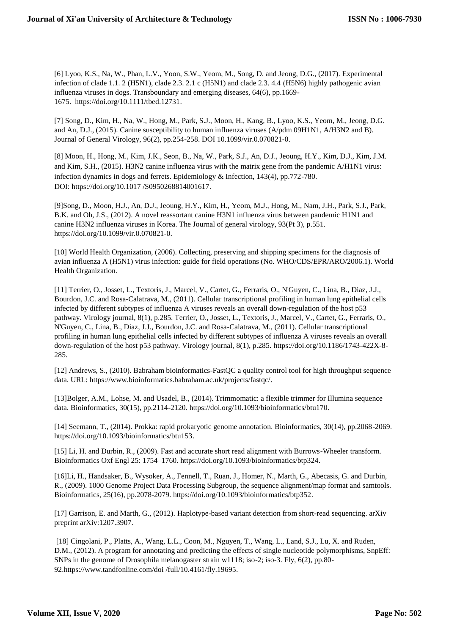[6] Lyoo, K.S., Na, W., Phan, L.V., Yoon, S.W., Yeom, M., Song, D. and Jeong, D.G., (2017). Experimental infection of clade 1.1. 2 (H5N1), clade 2.3. 2.1 c (H5N1) and clade 2.3. 4.4 (H5N6) highly pathogenic avian influenza viruses in dogs. Transboundary and emerging diseases, 64(6), pp.1669- 1675. [https://doi.org/10.1111/tbed.12731.](https://doi.org/10.1111/tbed.12731)

[7] [Song, D., Kim, H., Na, W., Hong, M., Park, S.J., Moon, H., Kang, B., Lyoo, K.S., Yeom, M., Jeong, D.G.](https://www.microbiologyresearch.org/content/journal/jgv/10.1099/vir.0.070821-0)  [and An, D.J., \(2015\). Canine susceptibility to human influenza viruses \(A/pdm 09H1N1, A/H3N2 and B\).](https://www.microbiologyresearch.org/content/journal/jgv/10.1099/vir.0.070821-0)  [Journal of General Virology, 96\(2\), pp.254-258. DOI 10.1099/vir.0.070821-0.](https://www.microbiologyresearch.org/content/journal/jgv/10.1099/vir.0.070821-0)

[8] Moon, H., Hong, M., Kim, J.K., Seon, B., Na, W., Park, S.J., An, D.J., Jeoung, H.Y., Kim, D.J., Kim, J.M. and Kim, S.H., (2015). H3N2 canine influenza virus with the matrix gene from the pandemic A/H1N1 virus: infection dynamics in dogs and ferrets. Epidemiology & Infection, 143(4), pp.772-780. DOI: [https://doi.org/10.1017](https://doi.org/10.1017/S0950268814001617) /S0950268814001617.

[9]Song, D., Moon, H.J., An, D.J., Jeoung, H.Y., Kim, H., Yeom, M.J., Hong, M., Nam, J.H., Park, S.J., Park, B.K. and Oh, J.S., (2012). A novel reassortant canine H3N1 influenza virus between pandemic H1N1 and canine H3N2 influenza viruses in Korea. The Journal of general virology, 93(Pt 3), p.551. [https://doi.org/10.1099/vir.0.070821-0.](https://doi.org/10.1099/vir.0.070821-0)

[10] [World Health Organization, \(2006\). Collecting, preserving and shipping specimens for the diagnosis of](https://scholar.google.com/scholar?hl=en&as_sdt=0%2C5&q=World+Health+Organization%2C+2006.+Collecting%2C+preserving+and+shipping+specimens+for+the+diagnosis+of+avian+influenza+A+%28H5N1%29+virus+infection%3A+guide+for+field+operations+%28No.+WHO%2FCDS%2FEPR%2FARO%2F2006.1%29.+World+Health+Organization.&btnG=)  [avian influenza A \(H5N1\) virus infection: guide for field operations \(No. WHO/CDS/EPR/ARO/2006.1\). World](https://scholar.google.com/scholar?hl=en&as_sdt=0%2C5&q=World+Health+Organization%2C+2006.+Collecting%2C+preserving+and+shipping+specimens+for+the+diagnosis+of+avian+influenza+A+%28H5N1%29+virus+infection%3A+guide+for+field+operations+%28No.+WHO%2FCDS%2FEPR%2FARO%2F2006.1%29.+World+Health+Organization.&btnG=)  [Health Organization.](https://scholar.google.com/scholar?hl=en&as_sdt=0%2C5&q=World+Health+Organization%2C+2006.+Collecting%2C+preserving+and+shipping+specimens+for+the+diagnosis+of+avian+influenza+A+%28H5N1%29+virus+infection%3A+guide+for+field+operations+%28No.+WHO%2FCDS%2FEPR%2FARO%2F2006.1%29.+World+Health+Organization.&btnG=)

[11] Terrier, O., Josset, L., Textoris, J., Marcel, V., Cartet, G., Ferraris, O., N'Guyen, C., Lina, B., Diaz, J.J., Bourdon, J.C. and Rosa-Calatrava, M., (2011). Cellular transcriptional profiling in human lung epithelial cells infected by different subtypes of influenza A viruses reveals an overall down-regulation of the host p53 pathway. Virology journal, 8(1), p.285. Terrier, O., Josset, L., Textoris, J., Marcel, V., Cartet, G., Ferraris, O., N'Guyen, C., Lina, B., Diaz, J.J., Bourdon, J.C. and Rosa-Calatrava, M., (2011). Cellular transcriptional profiling in human lung epithelial cells infected by different subtypes of influenza A viruses reveals an overall down-regulation of the host p53 pathway. Virology journal, 8(1), p.285. [https://doi.org/10.1186/1743-422X-8-](https://doi.org/10.1186/1743-422X-8-285) [285.](https://doi.org/10.1186/1743-422X-8-285)

[12] Andrews, S., (2010). Babraham bioinformatics-FastQC a quality control tool for high throughput sequence data. URL: [https://www.bioinformatics.babraham.ac.uk/projects/fastqc/.](https://www.bioinformatics.babraham.ac.uk/projects/fastqc/)

[13]Bolger, A.M., Lohse, M. and Usadel, B., (2014). Trimmomatic: a flexible trimmer for Illumina sequence data. Bioinformatics, 30(15), pp.2114-2120. [https://doi.org/10.1093/bioinformatics/btu170.](https://doi.org/10.1093/bioinformatics/btu170)

[14] Seemann, T., (2014). Prokka: rapid prokaryotic genome annotation. Bioinformatics, 30(14), pp.2068-2069. [https://doi.org/10.1093/bioinformatics/btu153.](https://doi.org/10.1093/bioinformatics/btu153)

[15] Li, H. and Durbin, R., (2009). Fast and accurate short read alignment with Burrows-Wheeler transform. Bioinformatics Oxf Engl 25: 1754–1760. [https://doi.org/10.1093/bioinformatics/btp324.](https://doi.org/10.1093/bioinformatics/btp324)

[16]Li, H., Handsaker, B., Wysoker, A., Fennell, T., Ruan, J., Homer, N., Marth, G., Abecasis, G. and Durbin, R., (2009). 1000 Genome Project Data Processing Subgroup, the sequence alignment/map format and samtools. Bioinformatics, 25(16), pp.2078-2079[. https://doi.org/10.1093/bioinformatics/btp352.](https://doi.org/10.1093/bioinformatics/btp352)

[17] Garrison, E. and Marth, G., (2012). Haplotype-based variant detection from short-read sequencing. arXiv preprint [arXiv:1207.3907.](https://arxiv.org/abs/1207.3907)

[18] Cingolani, P., Platts, A., Wang, L.L., Coon, M., Nguyen, T., Wang, L., Land, S.J., Lu, X. and Ruden, D.M., (2012). A program for annotating and predicting the effects of single nucleotide polymorphisms, SnpEff: SNPs in the genome of Drosophila melanogaster strain w1118; iso-2; iso-3. Fly, 6(2), pp.80- 9[2.https://www.tandfonline.com/doi](https://www.tandfonline.com/doi/full/10.4161/fly.19695) /full/10.4161/fly.19695.